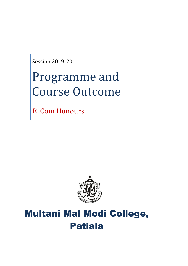Session 2019-20

# Programme and Course Outcome

B. Com Honours



# Multani Mal Modi College, Patiala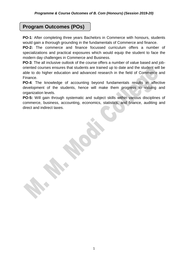# **Program Outcomes (POs)**

**PO-1**: After completing three years Bachelors in Commerce with honours, students would gain a thorough grounding in the fundamentals of Commerce and finance.

**PO-2:** The commerce and finance focussed curriculum offers a number of specializations and practical exposures which would equip the student to face the modern day challenges in Commerce and Business.

**PO-3**: The all inclusive outlook of the course offers a number of value based and joboriented courses ensures that students are trained up to date and the student will be able to do higher education and advanced research in the field of Commerce and Finance.

**PO-4**: The knowledge of accounting beyond fundamentals results in affective development of the students, hence will make them progress to valuing and organization levels.

**PO-5:** Will gain through systematic and subject skills within various disciplines of commerce, business, accounting, economics, statistics, and finance, auditing and direct and indirect taxes.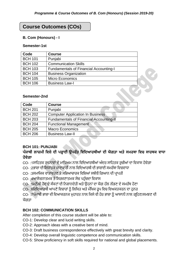# **Course Outcomes (COs)**

#### **B. Com (Honours) - I**

#### **Semester-1st**

| Code           | <b>Course</b>                                 |  |
|----------------|-----------------------------------------------|--|
| <b>BCH 101</b> | Punjabi                                       |  |
| <b>BCH 102</b> | <b>Communication Skills</b>                   |  |
| <b>BCH 103</b> | <b>Fundamentals of Financial Accounting-I</b> |  |
| <b>BCH 104</b> | <b>Business Organization</b>                  |  |
| <b>BCH 105</b> | <b>Micro Economics</b>                        |  |
| <b>BCH 106</b> | <b>Business Law-I</b>                         |  |

#### **Semester-2nd**

| Code           | <b>Course</b>                                  |
|----------------|------------------------------------------------|
| <b>BCH 201</b> | Punjabi                                        |
| <b>BCH 202</b> | <b>Computer Application In Business</b>        |
| <b>BCH 203</b> | <b>Fundamentals of Financial Accounting-II</b> |
| <b>BCH 204</b> | <b>Functional Management</b>                   |
| <b>BCH 205</b> | <b>Macro Economics</b>                         |
| <b>BCH 206</b> | <b>Business Law-II</b>                         |

#### **BCH 101: PUNJABI**

# **ਪੰਜਾਬੀ ਲਾਜ਼ਮੀ ਵਿਸ਼ੇਦੀ ਪੜ੍ਹਾਈ ਉਪਰੰਤ ਵਿਵਦਆਰਥੀਆਂ ਦੀ ਯੋਗਤਾ ਅਤੇਸਮਰਥਾ ਵਿਚ ਸਾਰਥਕ ਿਾਧਾ ਹੋਿੇਗਾ**

CO- :1ਸਾਹਿਤਕ ਰਚਨਾਵਾਂ ਦੇ ਮਾਧਿਅਮ ਨਾਲ ਵਿਦਿਆਰਥੀਆਂ ਅੰਦਰ ਸਾਹਿਤਕ ਰਚੀਆਂ ਦਾ ਵਿਕਾਸ ਹੋਵੇਗਾ

- CO- :2ਭਾਸ਼ਾ ਦੀ ਸਿਧਾਂਤਕ ਜਾਣਕਾਰੀ ਨਾਲ ਵਿਦਿਆਰਥੀ ਦੀ ਭਾਸ਼ਾਈ ਸਮਰੱਥਾ ਵਿਚਵਾਧਾ
- CO- :3ਸਮਾਜਿਕ ਵਾਤਾਵਰਣ ਤੇ ਸਭਿਆਚਾਰਕ ਵਿਸ਼ਿਆਂ ਸਬੰਧੀ ਗਿਆਨ ਦੀ ਪਾਪਤੀ
- CO- :4ਆਲੋਚਨਾਤਮਕ ਤੇ ਸਿਰਜਣਾਤਮਕ ਸੋਚ ਪਹੰਚਦਾ ਵਿਕਾਸ
- CO- :5ਮਨੁੱਖੀ ਹੋਂਦ ਦੇ ਸੰਕਟਾਂ ਦੀ ਨਿਸ਼ਾਨਦੇਹੀ ਅਤੇ ਉਹਨਾਂ ਦਾ ਯੋਗ ਹੱਲ ਲੱਭਣ ਦੇ ਸਮਰੱਥ ਹੋਣਾ
- CO- :6ਵਿਦਿਆਰਥੀ ਆਪਣੇ ਵਿਚਾਰਾਂ ਨੂੰ ਲਿਖਿਤ ਅਤੇ ਮੌਖਿਕ ਰੂਪ ਵਿਚ ਵਿਅਕਤਕਰਨ ਦਾ ਹਨਰ

CO- :7ਪ੍ੰਜਾਬੀ ਭਾਸ਼ਾ ਦੀ ਹਵਆਕਰਨਕ ਮੁਿਾਰਤ ਨਾਲ ਹਕਸੇਵੀ ਿੋਰ ਭਾਸ਼ਾ ਨ ੰ ਆਸਾਨੀ ਨਾਲ ਗਰਹਿਣ/ਸਮਝਣ ਦੀ ਯੋਗਤਾ

#### **BCH 102: COMMUNICATION SKILLS**

After completion of this course student will be able to:

CO-1: Develop clear and lucid writing skills.

- CO-2: Approach ideas with a creative bent of mind.
- CO-3: Draft business correspondence effectively with great brevity and clarity.
- CO-4: Develop overall linguistic competence and communication skills.
- CO-5: Show proficiency in soft skills required for national and global placements.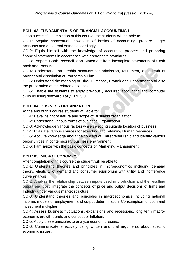# **BCH 103: FUNDAMENTALS OF FINANCIAL ACCOUNTING-I**

Upon successful completion of this course, the students will be able to:

CO-1: Acquire conceptual knowledge of basics of accounting, prepare ledger accounts and do journal entries accordingly.

CO-2: Equip himself with the knowledge of accounting process and preparing financial statements in accordance with appropriate standards.

CO-3: Prepare Bank Reconciliation Statement from incomplete statements of Cash book and Pass Book.

CO-4: Understand Partnership accounts for admission, retirement, and death of partner and dissolution of Partnership Firm.

CO-5: Understand the meaning of Hire- Purchase, Branch and Department and also the preparation of the related accounts.

CO-6: Enable the students to apply previously acquired accounting and computer skills by using software Tally.ERP.9.0

# **BCH 104: BUSINESS ORGANIZATION**

At the end of this course students will able to:

CO-1: Have insight of nature and scope of Business organization

CO-2: Understand various forms of business Organization

CO-3: Acknowledge various factors while selecting suitable location of business

CO-4: Evaluate various sources for attracting and retaining Human resources.

CO-5: Acquire knowledge about the concept of Entrepreneurship and identify various opportunities in contemporary business environment:

CO-6: Familiarize with the basic concepts of Marketing Management

# **BCH 105: MICRO ECONOMICS**

After completion of this course the student will be able to:

CO-1: Understand theories and principles in microeconomics including demand theory, elasticity of demand and consumer equilibrium with utility and indifference curve analysis.

CO-2: Analyze the relationship between inputs used in production and the resulting output and cost, integrate the concepts of price and output decisions of firms and Industry under various market structure.

CO-3: Understand theories and principles in macroeconomics including national income, models of employment and output determination, Consumption function and investment multiplier.

CO-4: Assess business fluctuations, expansions and recessions, long term macroeconomic growth trends and concept of Inflation.

CO-5: Apply these principles to analyze economic issues.

CO-6: Communicate effectively using written and oral arguments about specific economic issues.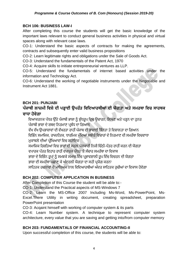# **BCH 106: BUSINESS LAW-I**

After completing this course the students will get the basic knowledge of the important laws relevant to conduct general business activities in physical and virtual spaces along with relevant case laws.

CO-1: Understand the basic aspects of contracts for making the agreements, contracts and subsequently enter valid business propositions

CO-2: Learn legitimate rights and obligations under the Sale of Goods Act.

CO-3: Understand the fundamentals of the Patent Act, 1970

CO-4: Acquire skills to initiate entrepreneurial ventures as LLP.

CO-5: Understand the fundamentals of internet based activities under the information and Technology Act.

CO-6: Understand the working of negotiable instruments under the Negotiable and Instrument Act 1881.

# **BCH 201: PUNJABI**

# **ਪੰਜਾਬੀ ਲਾਜ਼ਮੀ ਵਿਸ਼ੇਦੀ ਪੜ੍ਹਾਈ ਉਪਰੰਤ ਵਿਵਦਆਰਥੀਆਂ ਦੀ ਯੋਗਤਾ ਅਤੇਸਮਰਥਾ ਵਿਚ ਸਾਰਥਕ ਿਾਧਾ ਹੋਿੇਗਾ**

ਵਿਆਕਰਨਕ ਪੱਧਰ ਉੱਤੇ ਪੰਜਾਬੀ ਭਾਸ਼ਾ ਨੂੰ ਸ਼ੁੱਧਰੁਪ ਵਿਚ ਉਚਾਰਨ, ਲਿਖਣ ਅਤੇ ਪੜ੍ਹਨ ਦਾ ਹਨਰ ਪੰਜਾਬੀ ਭਾਸ਼ਾ ਦੇ ਸ਼ਬਦ ਨਿਰਮਾਣ ਪਬੰਧ ਦਾ ਗਿਆਨ

ਵੱਖ ਵੱਖ ਉਪਭਾਸ਼ਾਵਾਂ ਦੀ ਵੱਖਰਤਾ ਰਾਹੀਂ ਪੰਜਾਬ ਦੀ ਭਾਸ਼ਾਈ ਭਿੰਨਤਾ ਤੇ ਵਿਸ਼ਾਲਤਾ ਦਾ ਗਿਆਨ

ਵਿਭਿੰਨ ਸਮਾਜਿਕ, ਰਾਜਨੀਤਕ, ਧਾਰਮਿਕ ਮੱਦਿਆਂ ਸਬੰਧੀ ਵਿਚਾਰਾਂ ਦੇ ਨਿਰਮਾਣ ਦੀ ਸਮਰੱਥਾ ਵਿਚਵਾਧਾ ਮੁਕਾਬਲੇ ਦੀਆਂ ਪੀਖਿਆਵਾਂ ਵਿਚ ਸਹਾਇਕ

ਸਮਾਜਿਕ ਰਿਸ਼ਤਿਆਂ ਵਿਚ ਭਾਵਾਂ ਦੀ ਸਰਲ ਪੇਸ਼ਕਾਰੀ ਨਿਜੀ ਚਿੱਠੀ-ਪੱਤਰ ਰਾਹੀਂ ਕਰਨ ਦੀ ਯੋਗਤਾ

ਵਪਾਰਕ ਪੱਤਰ ਵਿਹਾਰ ਰਾਹੀਂ ਵਪਾਰਕ ਪੱਧਰ 'ਤੇ ਸੰਚਾਰ ਸਮਰੱਥਾ ਦਾ ਵਿਕਾਸ

ਭਾਸ਼ਾ ਦੇ ਵਿਭਿੰਨ ਰੂਪਾਂ ਨੂੰ ਸਮਝਕੇ ਸਮਾਜ ਵਿੱਚ ਪ੍ਰਭਾਵਸ਼ਾਲੀ ਰੂਪ ਵਿੱਚ ਵਿਚਰਨ ਦੀ ਯੋਗਤਾ

ਭਾਸ਼ਾ ਦੀ ਸਮਰੱਥਾ ਪਛਾਣ ਕੇ ਅੰਦਰਲੀ ਯੋਗਤਾ ਦਾ ਸਹੀ ਪਯੋਗ ਕਰਨਾ

ਸਾਹਿਤਕ ਰਚਨਾਵਾਂ ਦੇ ਮਾਧਿਅਮ ਨਾਲ ਵਿਦਿਆਰਥੀਆਂ ਅੰਦਰ ਸਾਹਿਤਕ ਰਚੀਆਂ ਦਾ ਵਿਕਾਸ ਹੋਵੇਗਾ

# **BCH 202: COMPUTER APPLICATION IN BUSINESS**

After Completion of this Course the student will be able to:-

CO-1: Understand the Practical aspects of MS-Windows 7

CO-2: Learn the MS-Office 2007 Including Ms-Word, Ms-PowerPoint, Ms-Excel.There Utility in writing document, creating spreadsheet, preparation PowerPoint presentation

CO-3: Acqaint himself with working of computer system & its parts

CO-4: Learn Number system. A technique to represent computer system architecture, every value that you are saving and getting into/from computer memory

# **BCH 203: FUNDAMENTALS OF FINANCIAL ACCOUNTING-II**

Upon successful completion of this course, the students will be able to: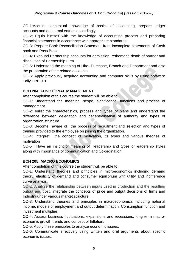#### *Programme & Course Outcomes of B. Com (Honours) (Session 2019-20)*

CO-1:Acquire conceptual knowledge of basics of accounting, prepare ledger accounts and do journal entries accordingly.

CO-2: Equip himself with the knowledge of accounting process and preparing financial statements in accordance with appropriate standards.

CO-3: Prepare Bank Reconciliation Statement from incomplete statements of Cash book and Pass Book.

CO-4: Expound Partnership accounts for admission, retirement, death of partner and dissolution of Partnership Firm.

CO-5: Understand the meaning of Hire- Purchase, Branch and Department and also the preparation of the related accounts.

CO-6: Apply previously acquired accounting and computer skills by using software Tally.ERP.9.0

#### **BCH 204: FUNCTIONAL MANAGEMENT**

After completion of this course the student will be able to:

CO-1: Understand the meaning, scope, significance, functions and process of management.

CO-2: enlist the characteristics, process and types of plans and understand the difference between delegation and decentralisation of authority and types of organization structure.

CO-3: Become aware of the process of recruitment and selection and types of training provided to the employee on joining the organization.

CO-4: Interpret the concept of motivation, its types and various theories of motivation

CO-5 : Have an insight of meaning of leadership and types of leadership styles along with importance of communication and Co-ordination.

# **BCH 205: MACRO ECONOMICS**

After completion of this course the student will be able to:

CO-1: Understand theories and principles in microeconomics including demand theory, elasticity of demand and consumer equilibrium with utility and indifference curve analysis.

CO-2: Analyze the relationship between inputs used in production and the resulting output and cost, integrate the concepts of price and output decisions of firms and Industry under various market structure.

CO-3: Understand theories and principles in macroeconomics including national income, models of employment and output determination, Consumption function and investment multiplier.

CO-4: Assess business fluctuations, expansions and recessions, long term macroeconomic growth trends and concept of Inflation.

CO-5: Apply these principles to analyze economic issues.

CO-6: Communicate effectively using written and oral arguments about specific economic issues.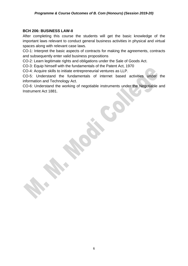#### **BCH 206: BUSINESS LAW-II**

After completing this course the students will get the basic knowledge of the important laws relevant to conduct general business activities in physical and virtual spaces along with relevant case laws.

CO-1: Interpret the basic aspects of contracts for making the agreements, contracts and subsequently enter valid business propositions

CO-2: Learn legitimate rights and obligations under the Sale of Goods Act.

CO-3: Equip himself with the fundamentals of the Patent Act, 1970

CO-4: Acquire skills to initiate entrepreneurial ventures as LLP.

CO-5: Understand the fundamentals of internet based activities under the information and Technology Act.

CO-6: Understand the working of negotiable instruments under the Negotiable and Instrument Act 1881.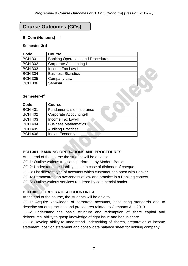# **Course Outcomes (COs)**

#### **B. Com (Honours) - II**

#### **Semester-3rd**

| Code           | <b>Course</b>                            |  |
|----------------|------------------------------------------|--|
| <b>BCH 301</b> | <b>Banking Operations and Procedures</b> |  |
| <b>BCH 302</b> | <b>Corporate Accounting-I</b>            |  |
| <b>BCH 303</b> | <b>Income Tax Law-I</b>                  |  |
| <b>BCH 304</b> | <b>Business Statistics</b>               |  |
| <b>BCH 305</b> | Company Law                              |  |
| <b>BCH 306</b> | Seminar                                  |  |

#### Semester-4<sup>th</sup>

| Code           | <b>Course</b>                    |
|----------------|----------------------------------|
| <b>BCH 401</b> | <b>Fundamentals of Insurance</b> |
| <b>BCH 402</b> | <b>Corporate Accounting-II</b>   |
| <b>BCH 403</b> | <b>Income Tax Law-II</b>         |
| <b>BCH 404</b> | <b>Business Mathematics</b>      |
| <b>BCH 405</b> | <b>Auditing Practices</b>        |
| <b>BCH 406</b> | Indian Economy                   |

# **BCH 301: BANKING OPERATIONS AND PROCEDURES**

At the end of the course the student will be able to:

CO-1: Outline various functions performed by Modern Banks.

CO-2: Understand the Liability occur in case of dishonor of cheque.

CO-3: List different type of accounts which customer can open with Banker.

CO-4: Demonstrate an awareness of law and practice in a Banking context

CO-5: Outline various services rendered by commercial banks.

# **BCH 302: CORPORATE ACCOUNTING-I**

At the end of the course, the students will be able to:

CO-1: Acquire knowledge of corporate accounts, accounting standards and to describe various practices and procedures related to Company Act, 2013.

CO-2 Understand the basic structure and redemption of share capital and debentures, ability to grasp knowledge of right issue and bonus share.

CO-3: Develop ability to understand underwriting of shares, preparation of income statement, position statement and consolidate balance sheet for holding company.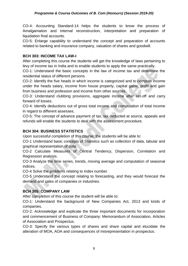CO-4: Accounting Standard-14 helps the students to know the process of Amalgamation and Internal reconstruction, interpretation and preparation of liquidation final accounts.

CO-5: Enlarge capability to understand the concept and preparation of accounts related to banking and insurance company, valuation of shares and goodwill.

# **BCH 303: INCOME TAX LAW-I**

After completing this course the students will get the knowledge of laws pertaining to levy of income tax in India and to enable students to apply the same practically.

CO-1: Understand the basic concepts in the law of income tax and determine the residential status of different persons.

CO-2: Identify the five heads in which income is categorized and to compute income under the heads salary, income from house property, capital gains, profit and gain from business and profession and income from other sources.

CO-3: Understand clubbing provisions, aggregate income after set-off and carry forward of losses.

CO-4: Identify deductions out of gross total income and computation of total income in regard to different assesses.

CO-5: The concept of advance payment of tax, tax deducted at source, appeals and refunds will enable the students to deal with the assessment procedure.

# **BCH 304: BUSINESS STATISTICS**

Upon successful completion of this course, the students will be able to:

CO-1 Understand basic concepts of Statistics such as collection of data, tabular and graphical representation of data.

CO-2 Calculate Measures of Central Tendency, Dispersion, Correlation and Regression analysis.

CO-3 Analyze the time series, trends, moving average and computation of seasonal indices.

CO-4 Solve the problems relating to Index number.

CO-5 Understand the concept relating to forecasting, and they would forecast the demand and sales of companies or industries.

# **BCH 305: COMPANY LAW**

After completion of this course the student will be able to:

CO-1: Understand the background of New Companies Act, 2013 and kinds of companies.

CO-2: Acknowledge and explicate the three important documents for incorporation and commencement of Business of Company: Memorandum of Association, Articles of Association and Prospectus.

CO-3: Specify the various types of shares and share capital and elucidate the alteration of MOA, AOA and consequences of misrepresentation in prospectus.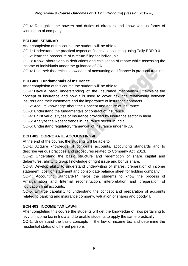CO-4: Recognize the powers and duties of directors and know various forms of winding up of company.

#### **BCH 306: SEMINAR**

After completion of this course the student will be able to:

CO-1: Understand the practical aspect of financial accounting using Tally ERP 9.0.

CO-2: learn the procedure of e-return-filing for individuals.

CO-3: Know about various deductions and calculation of rebate while assessing the income of individuals under the guidance of CA.

CO-4: Use their theoretical knowledge of accounting and finance in practical training.

# **BCH 401: Fundamentals of Insurance**

After completion of this course the student will be able to:

CO-1: Have a basic understanding of the insurance mechanism. It explains the concept of insurance and how it is used to cover risk, the relationship between insurers and their customers and the importance of insurance contracts .

CO-2: Acquire knowledge about the Concept and nature of Insurance

CO-3: Understand the fundamentals of contract of insurance.

CO-4: Enlist various types of Insurance provided by insurance sector in India

CO-5: Analyze the Recent trends in Insurance sector in India

CO-6: Understand regulatory framework of Insurance under IRDA

# **BCH 402: CORPORATE ACCOUNTING-II**

At the end of the course, the students will be able to:

CO-1: Acquire knowledge of corporate accounts, accounting standards and to describe various practices and procedures related to Company Act, 2013.

CO-2: Understand the basic structure and redemption of share capital and debentures, ability to grasp knowledge of right issue and bonus share.

CO-3: Develop ability to understand underwriting of shares, preparation of income statement, position statement and consolidate balance sheet for holding company.

CO-4: Accounting Standard-14 helps the students to know the process of Amalgamation and Internal reconstruction, interpretation and preparation of liquidation final accounts.

CO-5: Enlarge capability to understand the concept and preparation of accounts related to banking and insurance company, valuation of shares and goodwill.

# **BCH 403: INCOME TAX LAW-II**

After completing this course the students will get the knowledge of laws pertaining to levy of income tax in India and to enable students to apply the same practically.

CO-1: Understand the basic concepts in the law of income tax and determine the residential status of different persons.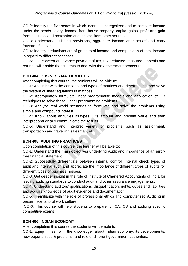#### *Programme & Course Outcomes of B. Com (Honours) (Session 2019-20)*

CO-2: Identify the five heads in which income is categorized and to compute income under the heads salary, income from house property, capital gains, profit and gain from business and profession and income from other sources.

CO-3: Understand clubbing provisions, aggregate income after set-off and carry forward of losses.

CO-4: Identify deductions out of gross total income and computation of total income in regard to different assesses.

CO-5: The concept of advance payment of tax, tax deducted at source, appeals and refunds will enable the students to deal with the assessment procedure.

#### **BCH 404: BUSINESS MATHEMATICS**

After completing this course, the students will be able to:

CO-1: Acquaint with the concepts and types of matrices and determinants and solve the system of linear equations in matrices.

CO-2: Appropriately formulate linear programming models and application of OR techniques to solve these Linear programming problems.

CO-3: Analyze real world scenarios to formulate and solve the problems using simple and compound interest,

CO-4: Know about annuities its,types, its amount and present value and then interpret and clearly communicate the results.

CO-5: Understand and interpret variety of problems such as assignment, transportation and travelling salesman, etc.

# **BCH 405: AUDITING PRACTICES**

Upon completion of this course, the learner will be able to:

CO-1: Understand the main objectives underlying Audit and importance of an errorfree financial statement.

CO-2: Successfully differentiate between internal control, internal check types of audit and internal audit and appreciate the importance of different types of audits for different types of business houses.

CO-3: Get deeper insight in the role of Institute of Chartered Accountants of India for issuing auditing standards to conduct audit and other assurance engagements.

CO-4: Understand auditors' qualifications, disqualification, rights, duties and liabilities and acquire knowledge of audit evidence and documentation

CO-5: Familiarize with the role of professional ethics and computerized Auditing in present scenario of work culture.

CO-6: This course will help students to prepare for CA, CS and auditing specific competitive exams

# **BCH 406: INDIAN ECONOMY**

After completing this course the students will be able to:

CO-1: Equip himself with the knowledge about Indian economy, its developments, new opportunities & problems, and role of different government authorities.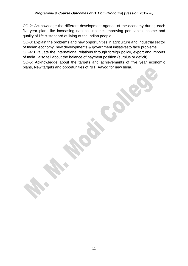CO-2: Acknowledge the different development agenda of the economy during each five-year plan, like increasing national income, improving per capita income and quality of life & standard of living of the Indian people.

CO-3: Explain the problems and new opportunities in agriculture and industrial sector of Indian economy, new developments & government initiativesto face problems.

CO-4: Evaluate the international relations through foreign policy, export and imports of India , also tell about the balance of payment position (surplus or deficit).

CO-5: Acknowledge about the targets and achievements of five year economic plans, New targets and opportunities of NITI Aayog for new India.

11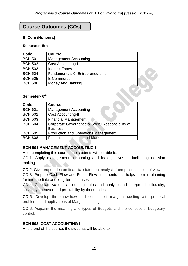# **Course Outcomes (COs)**

#### **B. Com (Honours) - III**

#### **Semester- 5th**

| Code           | <b>Course</b>                    |  |
|----------------|----------------------------------|--|
| <b>BCH 501</b> | <b>Management Accounting-I</b>   |  |
| <b>BCH 502</b> | <b>Cost Accounting-I</b>         |  |
| <b>BCH 503</b> | <b>Indirect Taxes</b>            |  |
| <b>BCH 504</b> | Fundamentals Of Entrepreneurship |  |
| <b>BCH 505</b> | E-Commerce                       |  |
| <b>BCH 506</b> | <b>Money And Banking</b>         |  |

#### **Semester- 6 th**

| Code           | <b>Course</b>                                   |
|----------------|-------------------------------------------------|
| <b>BCH 601</b> | <b>Management Accounting-II</b>                 |
| <b>BCH 602</b> | <b>Cost Accounting-II</b>                       |
| <b>BCH 603</b> | <b>Financial Management</b>                     |
| <b>BCH 604</b> | Corporate Governance & Social Responsibility of |
|                | <b>Business</b>                                 |
| <b>BCH 605</b> | <b>Production and Operations Management</b>     |
| <b>BCH 608</b> | <b>Financial Institutions and Markets</b>       |

# **BCH 501 MANAGEMENT ACCOUNTING-I**

After completing this course, the students will be able to:

CO-1: Apply management accounting and its objectives in facilitating decision making.

CO-2: Give proper idea on financial statement analysis from practical point of view.

CO-3: Prepare Cash Flow and Funds Flow statements this helps them in planning for intermediate and long-term finances.

CO-4: Calculate various accounting ratios and analyse and interpret the liquidity, solvency, turnover and profitability by these ratios.

CO-5: Develop the know-how and concept of marginal costing with practical problems and applications of Marginal costing.

CO-6: Acquaint the meaning and types of Budgets and the concept of budgetary control.

#### **BCH 502: COST ACCOUNTING-I**

At the end of the course, the students will be able to: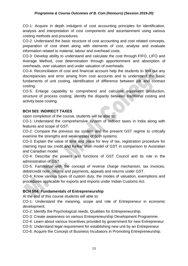CO-1: Acquire in depth indulgent of cost accounting principles for identification, analysis and interpretation of cost components and ascertainment using various costing methods and procedures.

CO-2: Understand the basic structure of cost accounting and cost related concepts, preparation of cost sheet along with elements of cost, analyse and evaluate information related to material, labour and overhead costs.

CO-3: Develop ability to understand and calculate the cost through FIFO, LIFO and Average Method, cost determination through apportionment and absorption of overheads, over valuation and under valuation of overheads.

CO-4: Reconciliation of cost and financial account help the students to find out any discrepancies and error arising from cost accounts and to understand the basic fundaments of unit costing, identification of difference between job and contract costing.

CO-5: Enlarge capability to comprehend and calculate equivalent production, structure of process costing; identify the disparity between traditional costing and activity base costing.

# **BCH 503: INDIRECT TAXES**

Upon completion of the course, students will be able to:

CO-1: Understand the comprehensive system of indirect taxes in India along with features and scope of GST.

CO-2: Compare the previous tax system and the present GST regime to critically examine the strengths and weaknesses of both systems.

CO-3: Explain the value of time and place for levy of tax, registration procedure for claiming input tax credit and Kelkar shah model of GST in comparison to Australian and Canadian model.

CO-4: Describe the powers and functions of GST Council and its role in the administration of GST.

CO-5: Familiarize with the concept of reverse charge mechanism, tax invoices, debit/credit note, returns and payments, appeals and returns under GST.

CO-6: Know various types of custom duty, the modes of valuation, exemptions and procedures applicable for exports and imports under Indian Customs Act.

# **BCH 504: Fundamentals of Entrepreneurship**

At the end of this course students will able to:

CO-1: Understand the meaning, scope and role of Entrepreneur in economic development.

CO-2: Identify the Psychological needs, Qualities for Entrepreneurship.

CO-3: Create awareness on various Entrepreneurship Development Programme.

CO-4: Learn about various Incentives provided by government for new Entrepreneur

CO-5: Understand legal requirement for establishing new unit by an Entrepreneur

CO-6: Acquire the Concept of Business Incubators in Promoting Entrepreneurship.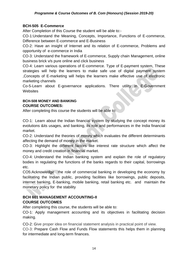# **BCH-505 E-Commerce**

After Completion of this Course the student will be able to:-

CO-1:Understand the Meaning, Concepts, Importance, Functions of E-commerce, Difference between E-commerce and E-Business

CO-2: Have an insight of Internet and its relation of E-commerce, Problems and opportunity of e-commerce in India

CO-3: Understand the framework of E-commerce, Supply chain Management, online business brick v/s pure online and click business

CO-4: Learn various operations of E-commerce. Type of E-payment system, These strategies will help the learners to make safe use of digital payment system ,Concepts of E-marketing will helps the learners make effective use of electronic marketing channels

Co-5-Learn about E-governance applications. There utility in E-Government **Websites** 

#### **BCH-508 MONEY AND BANKING COURSE OUTCOMES:**

After completing this course the students will be able to:

CO-1: Learn about the Indian financial system by studying the concept money its evolutions &its usages, and banking, its role and performances in the India financial market.

CO-2: Understand the theories of money which evaluates the different determinants affecting the demand of money in the market.

CO-3: Highlight the different factors like interest rate structure which affect the money and credit creation in financial market.

CO-4: Understand the Indian banking system and explain the role of regulatory bodies in regulating the functions of the banks regards to their capital, borrowings etc.

CO5:Acknowledge the role of commercial banking in developing the economy by facilitating the Indian public, providing facilities like borrowings, public deposits, internet banking, E-banking, mobile banking, retail banking etc. and maintain the monetary policy for the stability

# **BCH 601 MANAGEMENT ACCOUNTING-II COURSE OUTCOMES**

After completing this course, the students will be able to:

CO-1: Apply management accounting and its objectives in facilitating decision making.

CO-2: Give proper idea on financial statement analysis in practical point of view.

CO-3: Prepare Cash Flow and Funds Flow statements this helps them in planning for intermediate and long-term finances.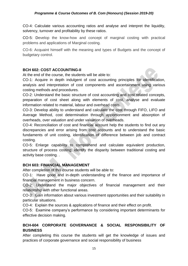CO-4: Calculate various accounting ratios and analyse and interpret the liquidity, solvency, turnover and profitability by these ratios.

CO-5: Develop the know-how and concept of marginal costing with practical problems and applications of Marginal costing.

CO-6: Acquaint himself with the meaning and types of Budgets and the concept of budgetary control.

# **BCH 602: COST ACCOUNTING-II**

At the end of the course, the students will be able to:

CO-1: Acquire in depth indulgent of cost accounting principles for identification, analysis and interpretation of cost components and ascertainment using various costing methods and procedures.

CO-2: Understand the basic structure of cost accounting and cost related concepts, preparation of cost sheet along with elements of cost, analyse and evaluate information related to material, labour and overhead costs.

CO-3: Develop ability to understand and calculate the cost through FIFO, LIFO and Average Method, cost determination through apportionment and absorption of overheads, over valuation and under valuation of overheads.

CO-4: Reconciliation of cost and financial account help the students to find out any discrepancies and error arising from cost accounts and to understand the basic fundaments of unit costing, identification of difference between job and contract costing.

CO-5: Enlarge capability to comprehend and calculate equivalent production, structure of process costing; identify the disparity between traditional costing and activity base costing. .

#### **BCH 603: FINANCIAL MANAGEMENT**

After completion of this course students will be able to:

CO-1: Have good and in-depth understanding of the finance and importance of financial management in business concern.

CO-2: Understand the major objectives of financial management and their relationship with other functional areas.

CO-3: Gain information about various investment opportunities and their suitability in particular situations.

CO-4: Explain the sources & applications of finance and their effect on profit.

CO-5: Examine company's performance by considering important determinants for effective decision making.

# **BCH-604 CORPORATE GOVERNANCE & SOCIAL RESPONSIBILITY OF BUSINESS**

After completing this course the students will get the knowledge of issues and practices of corporate governance and social responsibility of business